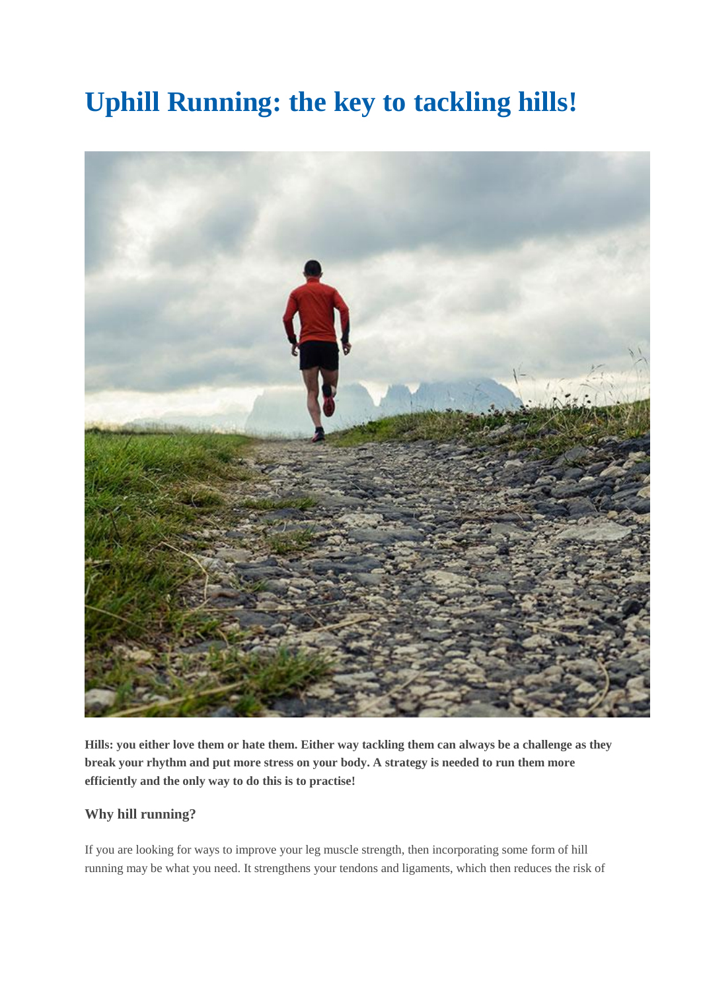## **Uphill Running: the key to tackling hills!**



**Hills: you either love them or hate them. Either way tackling them can always be a challenge as they break your rhythm and put more stress on your body. A strategy is needed to run them more efficiently and the only way to do this is to practise!**

## **Why hill running?**

If you are looking for ways to improve your leg muscle strength, then incorporating some form of hill running may be what you need. It strengthens your tendons and ligaments, which then reduces the risk of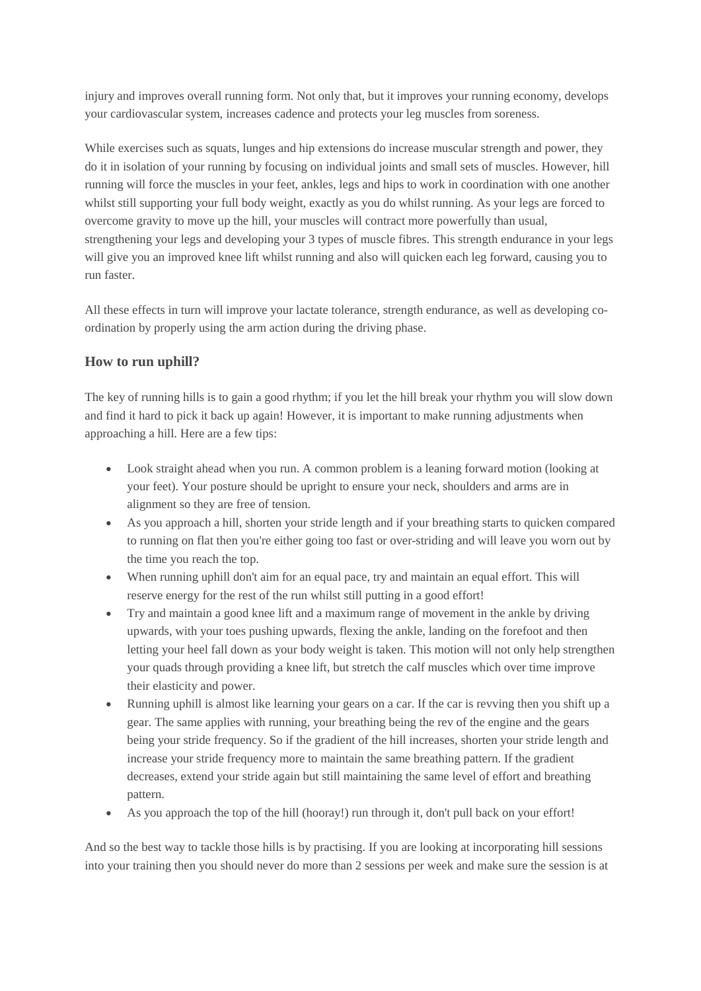injury and improves overall running form. Not only that, but it improves your running economy, develops your cardiovascular system, increases cadence and protects your leg muscles from soreness.

While exercises such as squats, lunges and hip extensions do increase muscular strength and power, they do it in isolation of your running by focusing on individual joints and small sets of muscles. However, hill running will force the muscles in your feet, ankles, legs and hips to work in coordination with one another whilst still supporting your full body weight, exactly as you do whilst running. As your legs are forced to overcome gravity to move up the hill, your muscles will contract more powerfully than usual, strengthening your legs and developing your 3 types of muscle fibres. This strength endurance in your legs will give you an improved knee lift whilst running and also will quicken each leg forward, causing you to run faster.

All these effects in turn will improve your lactate tolerance, strength endurance, as well as developing coordination by properly using the arm action during the driving phase.

## **How to run uphill?**

The key of running hills is to gain a good rhythm; if you let the hill break your rhythm you will slow down and find it hard to pick it back up again! However, it is important to make running adjustments when approaching a hill. Here are a few tips:

- Look straight ahead when you run. A common problem is a leaning forward motion (looking at your feet). Your posture should be upright to ensure your neck, shoulders and arms are in alignment so they are free of tension.
- As you approach a hill, shorten your stride length and if your breathing starts to quicken compared to running on flat then you're either going too fast or over-striding and will leave you worn out by the time you reach the top.
- When running uphill don't aim for an equal pace, try and maintain an equal effort. This will reserve energy for the rest of the run whilst still putting in a good effort!
- Try and maintain a good knee lift and a maximum range of movement in the ankle by driving upwards, with your toes pushing upwards, flexing the ankle, landing on the forefoot and then letting your heel fall down as your body weight is taken. This motion will not only help strengthen your quads through providing a knee lift, but stretch the calf muscles which over time improve their elasticity and power.
- Running uphill is almost like learning your gears on a car. If the car is revving then you shift up a gear. The same applies with running, your breathing being the rev of the engine and the gears being your stride frequency. So if the gradient of the hill increases, shorten your stride length and increase your stride frequency more to maintain the same breathing pattern. If the gradient decreases, extend your stride again but still maintaining the same level of effort and breathing pattern.
- As you approach the top of the hill (hooray!) run through it, don't pull back on your effort!

And so the best way to tackle those hills is by practising. If you are looking at incorporating hill sessions into your training then you should never do more than 2 sessions per week and make sure the session is at